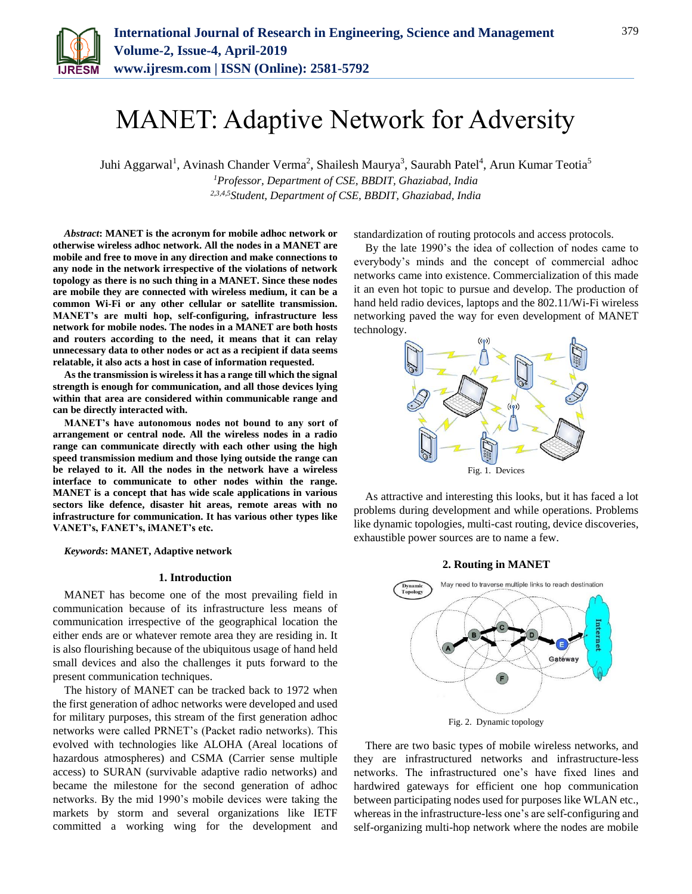

# MANET: Adaptive Network for Adversity

Juhi Aggarwal<sup>1</sup>, Avinash Chander Verma<sup>2</sup>, Shailesh Maurya<sup>3</sup>, Saurabh Patel<sup>4</sup>, Arun Kumar Teotia<sup>5</sup> *<sup>1</sup>Professor, Department of CSE, BBDIT, Ghaziabad, India 2,3,4,5Student, Department of CSE, BBDIT, Ghaziabad, India*

*Abstract***: MANET is the acronym for mobile adhoc network or otherwise wireless adhoc network. All the nodes in a MANET are mobile and free to move in any direction and make connections to any node in the network irrespective of the violations of network topology as there is no such thing in a MANET. Since these nodes are mobile they are connected with wireless medium, it can be a common Wi-Fi or any other cellular or satellite transmission. MANET's are multi hop, self-configuring, infrastructure less network for mobile nodes. The nodes in a MANET are both hosts and routers according to the need, it means that it can relay unnecessary data to other nodes or act as a recipient if data seems relatable, it also acts a host in case of information requested.** 

**As the transmission is wireless it has a range till which the signal strength is enough for communication, and all those devices lying within that area are considered within communicable range and can be directly interacted with.** 

**MANET's have autonomous nodes not bound to any sort of arrangement or central node. All the wireless nodes in a radio range can communicate directly with each other using the high speed transmission medium and those lying outside the range can be relayed to it. All the nodes in the network have a wireless interface to communicate to other nodes within the range. MANET is a concept that has wide scale applications in various sectors like defence, disaster hit areas, remote areas with no infrastructure for communication. It has various other types like VANET's, FANET's, iMANET's etc.** 

*Keywords***: MANET, Adaptive network**

### **1. Introduction**

MANET has become one of the most prevailing field in communication because of its infrastructure less means of communication irrespective of the geographical location the either ends are or whatever remote area they are residing in. It is also flourishing because of the ubiquitous usage of hand held small devices and also the challenges it puts forward to the present communication techniques.

The history of MANET can be tracked back to 1972 when the first generation of adhoc networks were developed and used for military purposes, this stream of the first generation adhoc networks were called PRNET's (Packet radio networks). This evolved with technologies like ALOHA (Areal locations of hazardous atmospheres) and CSMA (Carrier sense multiple access) to SURAN (survivable adaptive radio networks) and became the milestone for the second generation of adhoc networks. By the mid 1990's mobile devices were taking the markets by storm and several organizations like IETF committed a working wing for the development and standardization of routing protocols and access protocols.

By the late 1990's the idea of collection of nodes came to everybody's minds and the concept of commercial adhoc networks came into existence. Commercialization of this made it an even hot topic to pursue and develop. The production of hand held radio devices, laptops and the 802.11/Wi-Fi wireless networking paved the way for even development of MANET technology.



As attractive and interesting this looks, but it has faced a lot problems during development and while operations. Problems like dynamic topologies, multi-cast routing, device discoveries, exhaustible power sources are to name a few.

### **2. Routing in MANET**



Fig. 2. Dynamic topology

There are two basic types of mobile wireless networks, and they are infrastructured networks and infrastructure-less networks. The infrastructured one's have fixed lines and hardwired gateways for efficient one hop communication between participating nodes used for purposes like WLAN etc., whereas in the infrastructure-less one's are self-configuring and self-organizing multi-hop network where the nodes are mobile